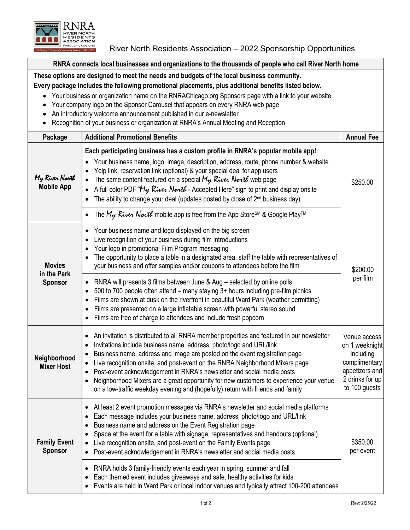

River North Residents Association – 2022 Sponsorship Opportunities

**RNRA connects local businesses and organizations to the thousands of people who call River North home**

## **These options are designed to meet the needs and budgets of the local business community.**

## **Every package includes the following promotional placements, plus additional benefits listed below.**

- Your business or organization name on the RNRAChicago.org Sponsors page with a link to your website
- Your company logo on the Sponsor Carousel that appears on every RNRA web page
- An introductory welcome announcement published in our e-newsletter
- Recognition of your business or organization at RNRA's Annual Meeting and Reception

| Package                                        | <b>Additional Promotional Benefits</b>                                                                                                                                                                                                                                                                                                                                                                                                                                                                                                                                                                                                           | <b>Annual Fee</b>                                                                                                  |
|------------------------------------------------|--------------------------------------------------------------------------------------------------------------------------------------------------------------------------------------------------------------------------------------------------------------------------------------------------------------------------------------------------------------------------------------------------------------------------------------------------------------------------------------------------------------------------------------------------------------------------------------------------------------------------------------------------|--------------------------------------------------------------------------------------------------------------------|
| My River North<br><b>Mobile App</b>            | Each participating business has a custom profile in RNRA's popular mobile app!<br>• Your business name, logo, image, description, address, route, phone number & website<br>Yelp link, reservation link (optional) & your special deal for app users<br>The same content featured on a special $M_{\nu}$ River North web page<br>A full color PDF " $M_{\gamma}$ River Narth - Accepted Here" sign to print and display onsite<br>The ability to change your deal (updates posted by close of 2 <sup>nd</sup> business day)<br>The $M_{\mathcal{Y}}$ Rives North mobile app is free from the App Store <sup>SM</sup> & Google Play <sup>TM</sup> | \$250.00                                                                                                           |
| <b>Movies</b><br>in the Park<br><b>Sponsor</b> | Your business name and logo displayed on the big screen<br>Live recognition of your business during film introductions<br>Your logo in promotional Film Program messaging<br>The opportunity to place a table in a designated area, staff the table with representatives of<br>your business and offer samples and/or coupons to attendees before the film                                                                                                                                                                                                                                                                                       | \$200.00<br>per film                                                                                               |
|                                                | RNRA will presents 3 films between June & Aug - selected by online polls<br>500 to 700 people often attend – many staying 3+ hours including pre-film picnics<br>٠<br>Films are shown at dusk on the riverfront in beautiful Ward Park (weather permitting)<br>Films are presented on a large inflatable screen with powerful stereo sound<br>Films are free of charge to attendees and include fresh popcorn                                                                                                                                                                                                                                    |                                                                                                                    |
| Neighborhood<br><b>Mixer Host</b>              | An invitation is distributed to all RNRA member properties and featured in our newsletter<br>Invitations include business name, address, photo/logo and URL/link<br>Business name, address and image are posted on the event registration page<br>Live recognition onsite, and post-event on the RNRA Neighborhood Mixers page<br>Post-event acknowledgement in RNRA's newsletter and social media posts<br>$\bullet$<br>Neighborhood Mixers are a great opportunity for new customers to experience your venue<br>on a low-traffic weekday evening and (hopefully) return with friends and family                                               | Venue access<br>on 1 weeknight<br>Including<br>complimentary<br>appetizers and<br>2 drinks for up<br>to 100 guests |
| <b>Family Event</b><br><b>Sponsor</b>          | At least 2 event promotion messages via RNRA's newsletter and social media platforms<br>Each message includes your business name, address, photo/logo and URL/link<br>Business name and address on the Event Registration page<br>Space at the event for a table with signage, representatives and handouts (optional)<br>Live recognition onsite, and post-event on the Family Events page<br>Post-event acknowledgement in RNRA's newsletter and social media posts                                                                                                                                                                            | \$350.00<br>per event                                                                                              |
|                                                | RNRA holds 3 family-friendly events each year in spring, summer and fall<br>Each themed event includes giveaways and safe, healthy activities for kids<br>Events are held in Ward Park or local indoor venues and typically attract 100-200 attendees                                                                                                                                                                                                                                                                                                                                                                                            |                                                                                                                    |